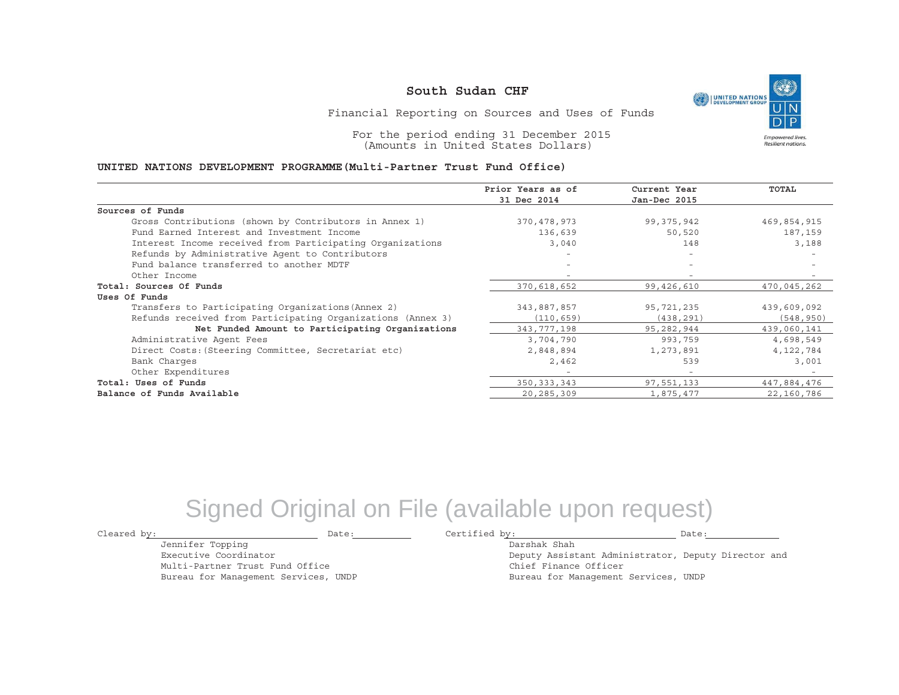UNITED NATIONS **Empowered lives** Resilient nations.

Financial Reporting on Sources and Uses of Funds

For the period ending 31 December 2015 (Amounts in United States Dollars)

#### **UNITED NATIONS DEVELOPMENT PROGRAMME(Multi-Partner Trust Fund Office)**

|                                                             | Prior Years as of | Current Year             | TOTAL       |
|-------------------------------------------------------------|-------------------|--------------------------|-------------|
|                                                             | 31 Dec 2014       | Jan-Dec 2015             |             |
| Sources of Funds                                            |                   |                          |             |
| Gross Contributions (shown by Contributors in Annex 1)      | 370,478,973       | 99,375,942               | 469,854,915 |
| Fund Earned Interest and Investment Income                  | 136,639           | 50,520                   | 187,159     |
| Interest Income received from Participating Organizations   | 3,040             | 148                      | 3,188       |
| Refunds by Administrative Agent to Contributors             | -                 | $\overline{\phantom{0}}$ |             |
| Fund balance transferred to another MDTF                    |                   |                          |             |
| Other Income                                                |                   |                          |             |
| Total: Sources Of Funds                                     | 370,618,652       | 99,426,610               | 470,045,262 |
| Uses Of Funds                                               |                   |                          |             |
| Transfers to Participating Organizations (Annex 2)          | 343,887,857       | 95,721,235               | 439,609,092 |
| Refunds received from Participating Organizations (Annex 3) | (110, 659)        | (438, 291)               | (548, 950)  |
| Net Funded Amount to Participating Organizations            | 343, 777, 198     | 95,282,944               | 439,060,141 |
| Administrative Agent Fees                                   | 3,704,790         | 993,759                  | 4,698,549   |
| Direct Costs: (Steering Committee, Secretariat etc)         | 2,848,894         | 1,273,891                | 4, 122, 784 |
| Bank Charges                                                | 2,462             | 539                      | 3,001       |
| Other Expenditures                                          |                   | $\overline{\phantom{a}}$ |             |
| Total: Uses of Funds                                        | 350, 333, 343     | 97,551,133               | 447,884,476 |
| Balance of Funds Available                                  | 20,285,309        | 1,875,477                | 22,160,786  |

# Signed Original on File (available upon request)

Jennifer Topping Executive Coordinator

Multi-Partner Trust Fund Office Bureau for Management Services, UNDP

Cleared by: Date: Certified by: Date:

Darshak ShahDeputy Assistant Administrator, Deputy Director and Chief Finance Officer Bureau for Management Services, UNDP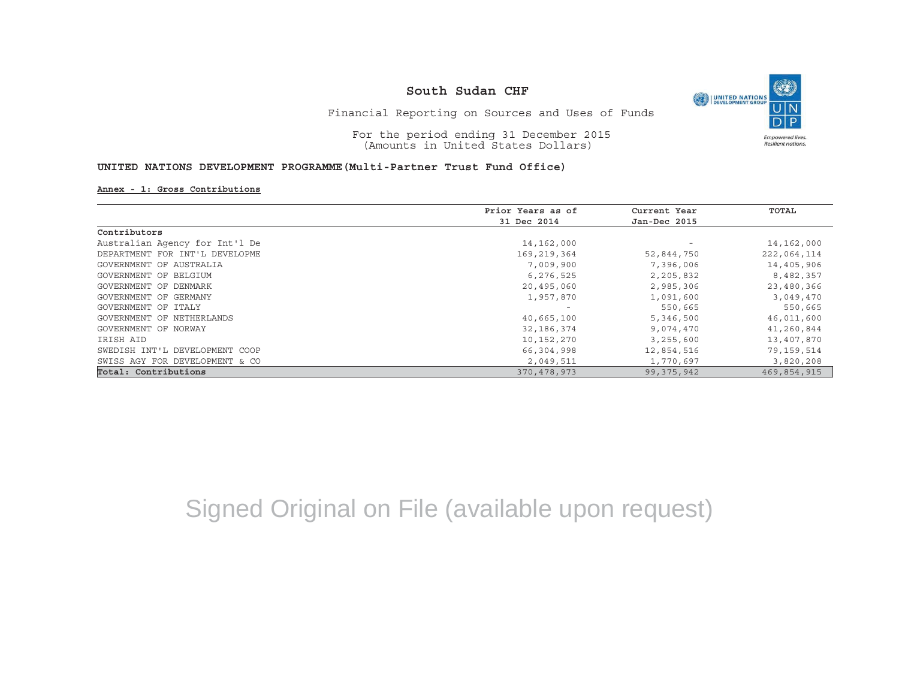

Financial Reporting on Sources and Uses of Funds

For the period ending 31 December 2015 (Amounts in United States Dollars)

#### **UNITED NATIONS DEVELOPMENT PROGRAMME(Multi-Partner Trust Fund Office)**

#### **Annex - 1: Gross Contributions**

|                                | Prior Years as of | Current Year             | TOTAL       |
|--------------------------------|-------------------|--------------------------|-------------|
|                                | 31 Dec 2014       | Jan-Dec 2015             |             |
| Contributors                   |                   |                          |             |
| Australian Agency for Int'l De | 14,162,000        | $\overline{\phantom{m}}$ | 14,162,000  |
| DEPARTMENT FOR INT'L DEVELOPME | 169,219,364       | 52,844,750               | 222,064,114 |
| GOVERNMENT OF AUSTRALIA        | 7,009,900         | 7,396,006                | 14,405,906  |
| GOVERNMENT OF BELGIUM          | 6,276,525         | 2,205,832                | 8,482,357   |
| GOVERNMENT OF DENMARK          | 20,495,060        | 2,985,306                | 23,480,366  |
| GOVERNMENT OF GERMANY          | 1,957,870         | 1,091,600                | 3,049,470   |
| GOVERNMENT OF ITALY            |                   | 550,665                  | 550,665     |
| GOVERNMENT OF NETHERLANDS      | 40,665,100        | 5,346,500                | 46,011,600  |
| GOVERNMENT OF NORWAY           | 32,186,374        | 9,074,470                | 41,260,844  |
| IRISH AID                      | 10,152,270        | 3,255,600                | 13,407,870  |
| SWEDISH INT'L DEVELOPMENT COOP | 66,304,998        | 12,854,516               | 79,159,514  |
| SWISS AGY FOR DEVELOPMENT & CO | 2,049,511         | 1,770,697                | 3,820,208   |
| Total: Contributions           | 370,478,973       | 99,375,942               | 469,854,915 |

# Signed Original on File (available upon request)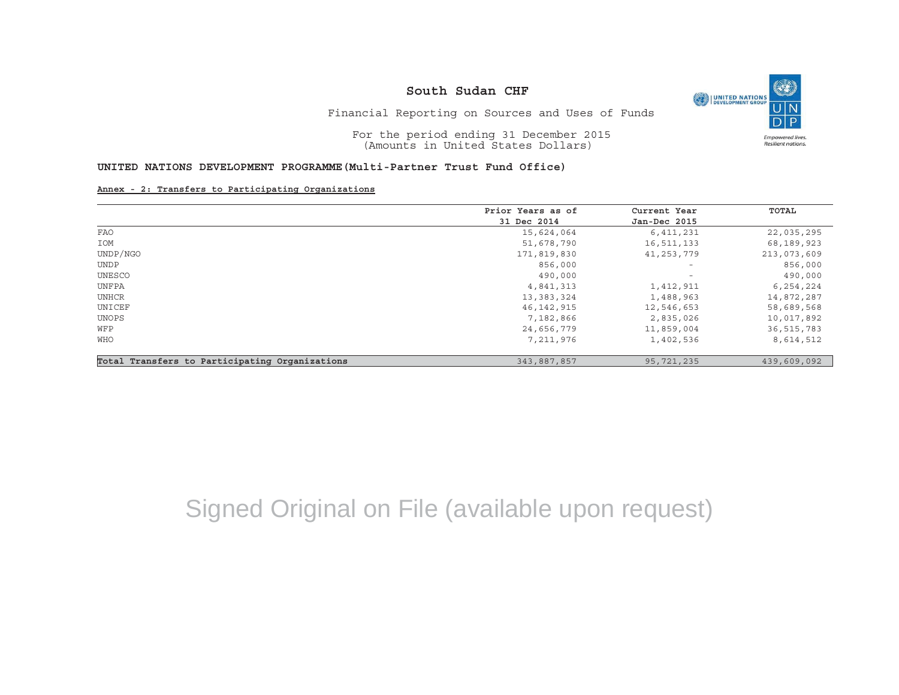

Financial Reporting on Sources and Uses of Funds

For the period ending 31 December 2015 (Amounts in United States Dollars)

### **UNITED NATIONS DEVELOPMENT PROGRAMME(Multi-Partner Trust Fund Office)**

**Annex - 2: Transfers to Participating Organizations**

|                                                | Prior Years as of | Current Year             | TOTAL       |
|------------------------------------------------|-------------------|--------------------------|-------------|
|                                                | 31 Dec 2014       | Jan-Dec 2015             |             |
| FAO                                            | 15,624,064        | 6,411,231                | 22,035,295  |
| IOM                                            | 51,678,790        | 16,511,133               | 68,189,923  |
| UNDP/NGO                                       | 171,819,830       | 41,253,779               | 213,073,609 |
| UNDP                                           | 856,000           | $\qquad \qquad -$        | 856,000     |
| UNESCO                                         | 490,000           | $\overline{\phantom{a}}$ | 490,000     |
| UNFPA                                          | 4,841,313         | 1,412,911                | 6,254,224   |
| UNHCR                                          | 13, 383, 324      | 1,488,963                | 14,872,287  |
| UNICEF                                         | 46, 142, 915      | 12,546,653               | 58,689,568  |
| UNOPS                                          | 7,182,866         | 2,835,026                | 10,017,892  |
| WFP                                            | 24,656,779        | 11,859,004               | 36,515,783  |
| <b>WHO</b>                                     | 7,211,976         | 1,402,536                | 8,614,512   |
| Total Transfers to Participating Organizations | 343,887,857       | 95,721,235               | 439,609,092 |

# Signed Original on File (available upon request)